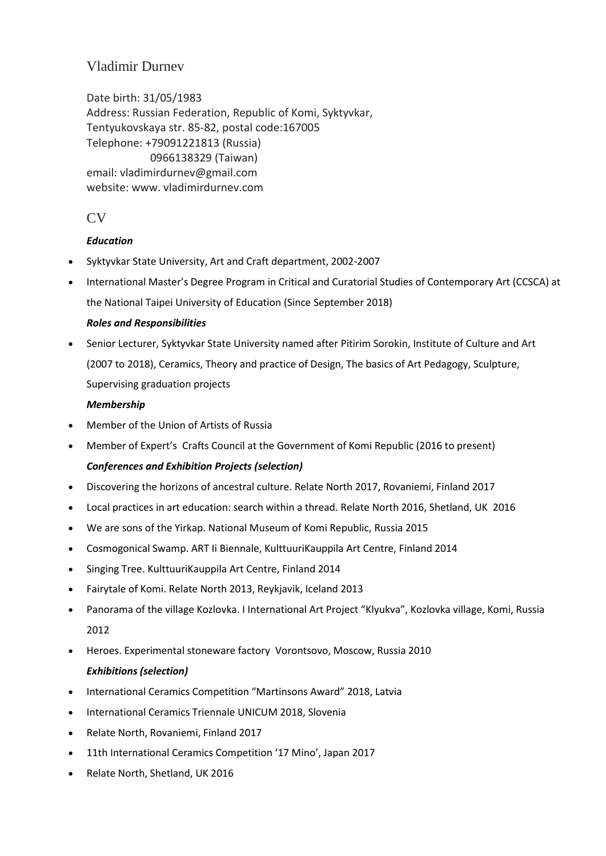# Vladimir Durnev

Date birth: 31/05/1983 Address: Russian Federation, Republic of Komi, Syktyvkar, Tentyukovskaya str. 85-82, postal code:167005 Telephone: +79091221813 (Russia) 0966138329 (Taiwan) email: vladimirdurnev@gmail.com website: www. vladimirdurnev.com

## $CV$

## *Education*

- Syktyvkar State University, Art and Craft department, 2002-2007
- International Master's Degree Program in Critical and Curatorial Studies of Contemporary Art (CCSCA) at the National Taipei University of Education (Since September 2018)

## *Roles and Responsibilities*

• Senior Lecturer, Syktyvkar State University named after Pitirim Sorokin, Institute of Culture and Art (2007 to 2018), Ceramics, Theory and practice of Design, The basics of Art Pedagogy, Sculpture, Supervising graduation projects

### *Membership*

- Member of the Union of Artists of Russia
- Member of Expert's Crafts Council at the Government of Komi Republic (2016 to present) *Conferences and Exhibition Projects (selection)*
- Discovering the horizons of ancestral culture. Relate North 2017, Rovaniemi, Finland 2017
- Local practices in art education: search within a thread. Relate North 2016, Shetland, UK 2016
- We are sons of the Yirkap. National Museum of Komi Republic, Russia 2015
- Cosmogonical Swamp. ART Ii Biennale, KulttuuriKauppila Art Centre, Finland 2014
- Singing Tree. KulttuuriKauppila Art Centre, Finland 2014
- Fairytale of Komi. Relate North 2013, Reykjavik, Iceland 2013
- Panorama of the village Kozlovka. I International Art Project "Klyukva", Kozlovka village, Komi, Russia 2012
- Heroes. Experimental stoneware factory Vorontsovo, Moscow, Russia 2010 *Exhibitions (selection)*
- International Ceramics Competition "Martinsons Award" 2018, Latvia
- International Ceramics Triennale UNICUM 2018, Slovenia
- Relate North, Rovaniemi, Finland 2017
- 11th International Ceramics Competition '17 Mino', Japan 2017
- Relate North, Shetland, UK 2016